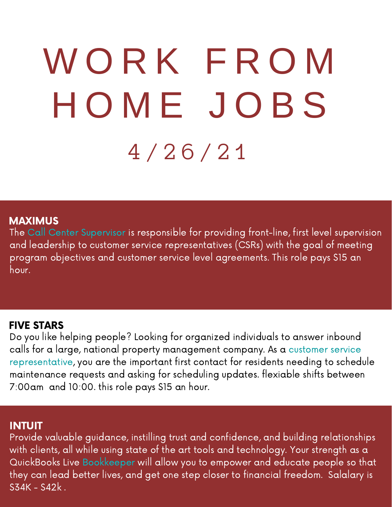# W O R K F R O M H O M E J O B S 4 / 2 6 / 2 1

#### MAXIMUS

The Call Center Supervisor is responsible for providing front-line, first level supervision and leadership to customer service representatives (CSRs) with the goal of meeting program objectives and customer service level agreements. This role pays \$15 an hour.

#### FIVE STARS

Do you like helping people? Looking for organized individuals to answer inbound calls for a large, national property management company. As a customer service representative, you are the important first contact for residents needing to schedule maintenance requests and asking for scheduling updates. flexiable shifts between 7:00am and 10:00. this role pays \$15 an hour.

#### INTUIT

Provide valuable guidance, instilling trust and confidence, and building relationships with clients, all while using state of the art tools and technology. Your strength as a QuickBooks Live Bookkeeper will allow you to empower and educate people so that they can lead better lives, and get one step closer to financial freedom. Salalary is  $S34K - S42k$ .